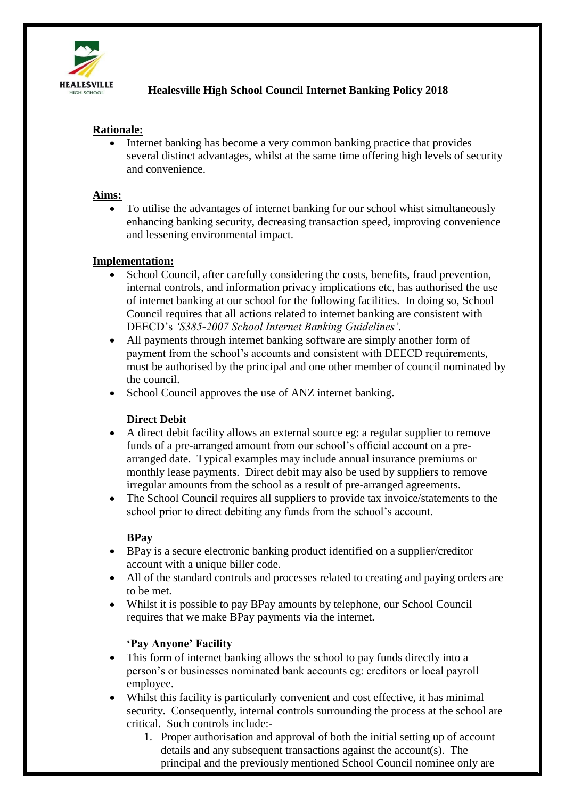

# **Healesville High School Council Internet Banking Policy 2018**

# **Rationale:**

 Internet banking has become a very common banking practice that provides several distinct advantages, whilst at the same time offering high levels of security and convenience.

#### **Aims:**

 To utilise the advantages of internet banking for our school whist simultaneously enhancing banking security, decreasing transaction speed, improving convenience and lessening environmental impact.

#### **Implementation:**

- School Council, after carefully considering the costs, benefits, fraud prevention, internal controls, and information privacy implications etc, has authorised the use of internet banking at our school for the following facilities. In doing so, School Council requires that all actions related to internet banking are consistent with DEECD's *'S385-2007 School Internet Banking Guidelines'*.
- All payments through internet banking software are simply another form of payment from the school's accounts and consistent with DEECD requirements, must be authorised by the principal and one other member of council nominated by the council.
- School Council approves the use of ANZ internet banking.

## **Direct Debit**

- A direct debit facility allows an external source eg: a regular supplier to remove funds of a pre-arranged amount from our school's official account on a prearranged date. Typical examples may include annual insurance premiums or monthly lease payments. Direct debit may also be used by suppliers to remove irregular amounts from the school as a result of pre-arranged agreements.
- The School Council requires all suppliers to provide tax invoice/statements to the school prior to direct debiting any funds from the school's account.

## **BPay**

- BPay is a secure electronic banking product identified on a supplier/creditor account with a unique biller code.
- All of the standard controls and processes related to creating and paying orders are to be met.
- Whilst it is possible to pay BPay amounts by telephone, our School Council requires that we make BPay payments via the internet.

## **'Pay Anyone' Facility**

- This form of internet banking allows the school to pay funds directly into a person's or businesses nominated bank accounts eg: creditors or local payroll employee.
- Whilst this facility is particularly convenient and cost effective, it has minimal security. Consequently, internal controls surrounding the process at the school are critical. Such controls include:-
	- 1. Proper authorisation and approval of both the initial setting up of account details and any subsequent transactions against the account(s). The principal and the previously mentioned School Council nominee only are